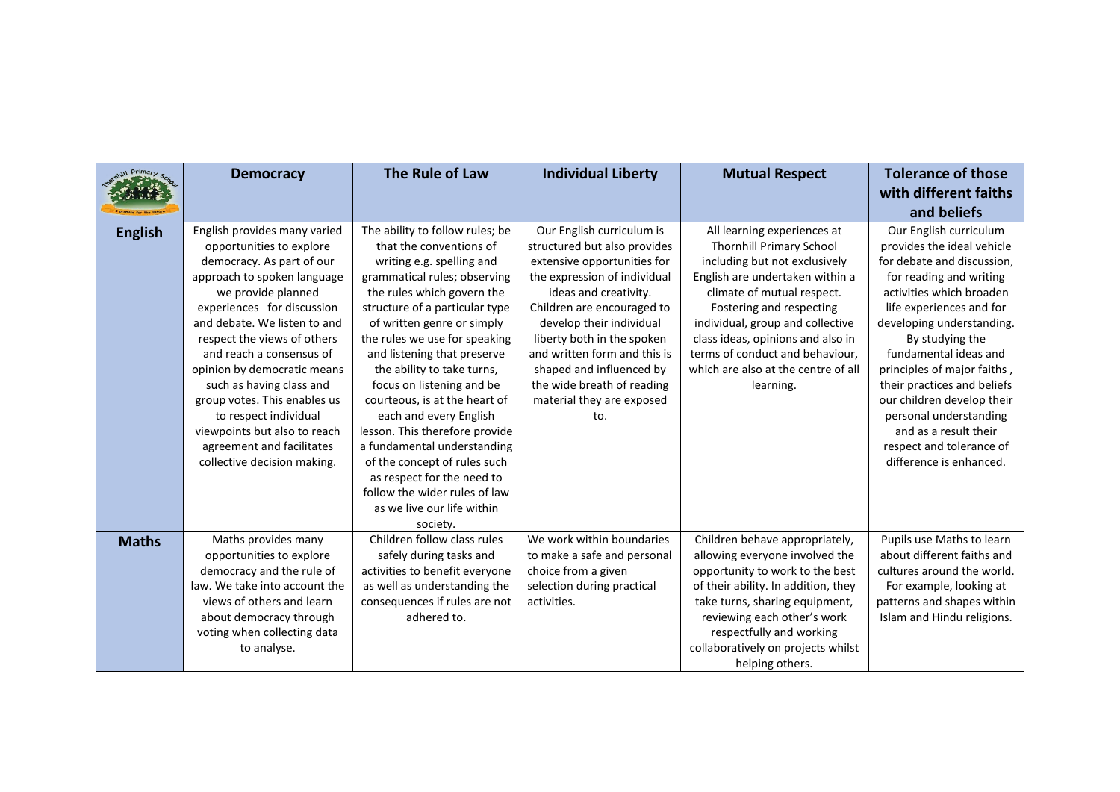| ill Primary    | <b>Democracy</b>                                                                                                                                                                                                                                                                                                                                                                                                                                                                    | The Rule of Law                                                                                                                                                                                                                                                                                                                                                                                                                                                                                              | <b>Individual Liberty</b>                                                                                                                                                                                                                                                                                                                                               | <b>Mutual Respect</b>                                                                                                                                                                                                                                                                                                                                        | <b>Tolerance of those</b>                                                                                                                                                                                                                                                                                                                                                                                                                            |
|----------------|-------------------------------------------------------------------------------------------------------------------------------------------------------------------------------------------------------------------------------------------------------------------------------------------------------------------------------------------------------------------------------------------------------------------------------------------------------------------------------------|--------------------------------------------------------------------------------------------------------------------------------------------------------------------------------------------------------------------------------------------------------------------------------------------------------------------------------------------------------------------------------------------------------------------------------------------------------------------------------------------------------------|-------------------------------------------------------------------------------------------------------------------------------------------------------------------------------------------------------------------------------------------------------------------------------------------------------------------------------------------------------------------------|--------------------------------------------------------------------------------------------------------------------------------------------------------------------------------------------------------------------------------------------------------------------------------------------------------------------------------------------------------------|------------------------------------------------------------------------------------------------------------------------------------------------------------------------------------------------------------------------------------------------------------------------------------------------------------------------------------------------------------------------------------------------------------------------------------------------------|
|                |                                                                                                                                                                                                                                                                                                                                                                                                                                                                                     |                                                                                                                                                                                                                                                                                                                                                                                                                                                                                                              |                                                                                                                                                                                                                                                                                                                                                                         |                                                                                                                                                                                                                                                                                                                                                              | with different faiths                                                                                                                                                                                                                                                                                                                                                                                                                                |
|                |                                                                                                                                                                                                                                                                                                                                                                                                                                                                                     |                                                                                                                                                                                                                                                                                                                                                                                                                                                                                                              |                                                                                                                                                                                                                                                                                                                                                                         |                                                                                                                                                                                                                                                                                                                                                              | and beliefs                                                                                                                                                                                                                                                                                                                                                                                                                                          |
| <b>English</b> | English provides many varied<br>opportunities to explore<br>democracy. As part of our<br>approach to spoken language<br>we provide planned<br>experiences for discussion<br>and debate. We listen to and<br>respect the views of others<br>and reach a consensus of<br>opinion by democratic means<br>such as having class and<br>group votes. This enables us<br>to respect individual<br>viewpoints but also to reach<br>agreement and facilitates<br>collective decision making. | The ability to follow rules; be<br>that the conventions of<br>writing e.g. spelling and<br>grammatical rules; observing<br>the rules which govern the<br>structure of a particular type<br>of written genre or simply<br>the rules we use for speaking<br>and listening that preserve<br>the ability to take turns,<br>focus on listening and be<br>courteous, is at the heart of<br>each and every English<br>lesson. This therefore provide<br>a fundamental understanding<br>of the concept of rules such | Our English curriculum is<br>structured but also provides<br>extensive opportunities for<br>the expression of individual<br>ideas and creativity.<br>Children are encouraged to<br>develop their individual<br>liberty both in the spoken<br>and written form and this is<br>shaped and influenced by<br>the wide breath of reading<br>material they are exposed<br>to. | All learning experiences at<br><b>Thornhill Primary School</b><br>including but not exclusively<br>English are undertaken within a<br>climate of mutual respect.<br>Fostering and respecting<br>individual, group and collective<br>class ideas, opinions and also in<br>terms of conduct and behaviour,<br>which are also at the centre of all<br>learning. | Our English curriculum<br>provides the ideal vehicle<br>for debate and discussion,<br>for reading and writing<br>activities which broaden<br>life experiences and for<br>developing understanding.<br>By studying the<br>fundamental ideas and<br>principles of major faiths,<br>their practices and beliefs<br>our children develop their<br>personal understanding<br>and as a result their<br>respect and tolerance of<br>difference is enhanced. |
|                |                                                                                                                                                                                                                                                                                                                                                                                                                                                                                     | as respect for the need to<br>follow the wider rules of law<br>as we live our life within<br>society.                                                                                                                                                                                                                                                                                                                                                                                                        |                                                                                                                                                                                                                                                                                                                                                                         |                                                                                                                                                                                                                                                                                                                                                              |                                                                                                                                                                                                                                                                                                                                                                                                                                                      |
| <b>Maths</b>   | Maths provides many<br>opportunities to explore<br>democracy and the rule of<br>law. We take into account the<br>views of others and learn<br>about democracy through<br>voting when collecting data<br>to analyse.                                                                                                                                                                                                                                                                 | Children follow class rules<br>safely during tasks and<br>activities to benefit everyone<br>as well as understanding the<br>consequences if rules are not<br>adhered to.                                                                                                                                                                                                                                                                                                                                     | We work within boundaries<br>to make a safe and personal<br>choice from a given<br>selection during practical<br>activities.                                                                                                                                                                                                                                            | Children behave appropriately,<br>allowing everyone involved the<br>opportunity to work to the best<br>of their ability. In addition, they<br>take turns, sharing equipment,<br>reviewing each other's work<br>respectfully and working<br>collaboratively on projects whilst<br>helping others.                                                             | Pupils use Maths to learn<br>about different faiths and<br>cultures around the world.<br>For example, looking at<br>patterns and shapes within<br>Islam and Hindu religions.                                                                                                                                                                                                                                                                         |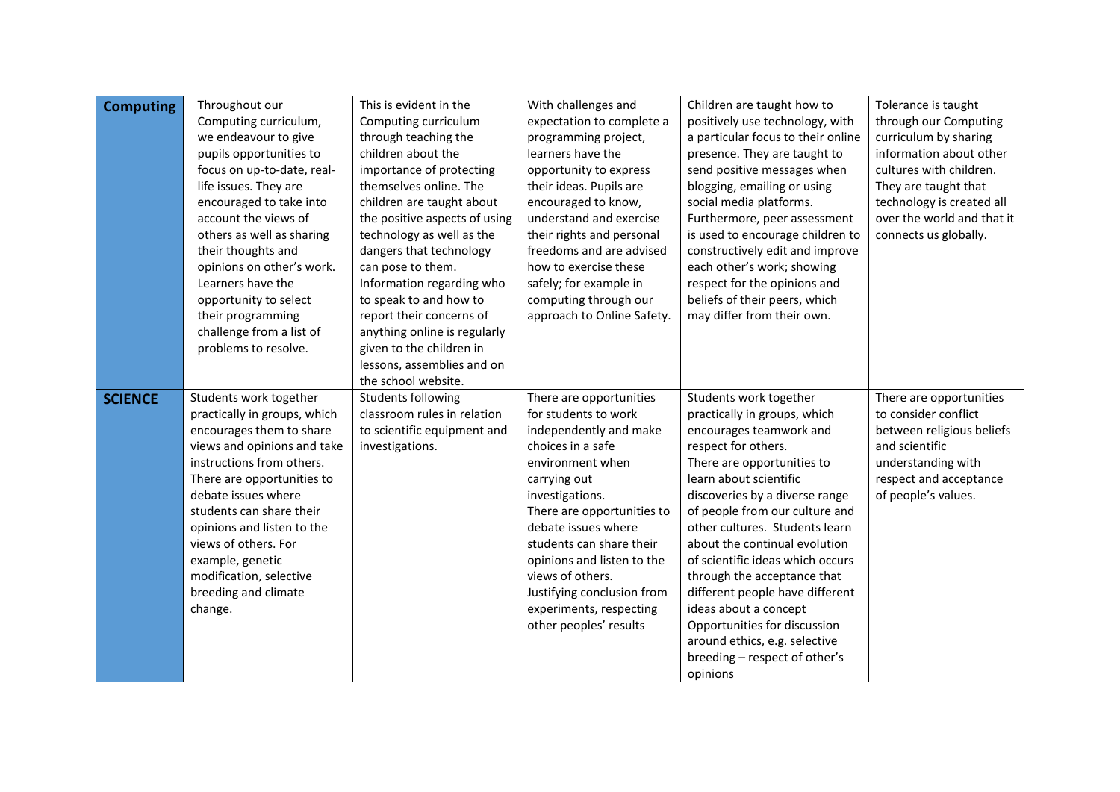| <b>Computing</b> | Throughout our<br>Computing curriculum,<br>we endeavour to give<br>pupils opportunities to<br>focus on up-to-date, real-<br>life issues. They are<br>encouraged to take into<br>account the views of<br>others as well as sharing<br>their thoughts and<br>opinions on other's work.<br>Learners have the<br>opportunity to select<br>their programming<br>challenge from a list of<br>problems to resolve. | This is evident in the<br>Computing curriculum<br>through teaching the<br>children about the<br>importance of protecting<br>themselves online. The<br>children are taught about<br>the positive aspects of using<br>technology as well as the<br>dangers that technology<br>can pose to them.<br>Information regarding who<br>to speak to and how to<br>report their concerns of<br>anything online is regularly<br>given to the children in<br>lessons, assemblies and on<br>the school website. | With challenges and<br>expectation to complete a<br>programming project,<br>learners have the<br>opportunity to express<br>their ideas. Pupils are<br>encouraged to know,<br>understand and exercise<br>their rights and personal<br>freedoms and are advised<br>how to exercise these<br>safely; for example in<br>computing through our<br>approach to Online Safety.     | Children are taught how to<br>positively use technology, with<br>a particular focus to their online<br>presence. They are taught to<br>send positive messages when<br>blogging, emailing or using<br>social media platforms.<br>Furthermore, peer assessment<br>is used to encourage children to<br>constructively edit and improve<br>each other's work; showing<br>respect for the opinions and<br>beliefs of their peers, which<br>may differ from their own.                                                                                     | Tolerance is taught<br>through our Computing<br>curriculum by sharing<br>information about other<br>cultures with children.<br>They are taught that<br>technology is created all<br>over the world and that it<br>connects us globally. |
|------------------|-------------------------------------------------------------------------------------------------------------------------------------------------------------------------------------------------------------------------------------------------------------------------------------------------------------------------------------------------------------------------------------------------------------|---------------------------------------------------------------------------------------------------------------------------------------------------------------------------------------------------------------------------------------------------------------------------------------------------------------------------------------------------------------------------------------------------------------------------------------------------------------------------------------------------|-----------------------------------------------------------------------------------------------------------------------------------------------------------------------------------------------------------------------------------------------------------------------------------------------------------------------------------------------------------------------------|------------------------------------------------------------------------------------------------------------------------------------------------------------------------------------------------------------------------------------------------------------------------------------------------------------------------------------------------------------------------------------------------------------------------------------------------------------------------------------------------------------------------------------------------------|-----------------------------------------------------------------------------------------------------------------------------------------------------------------------------------------------------------------------------------------|
| <b>SCIENCE</b>   | Students work together<br>practically in groups, which<br>encourages them to share<br>views and opinions and take<br>instructions from others.<br>There are opportunities to<br>debate issues where<br>students can share their<br>opinions and listen to the<br>views of others. For<br>example, genetic<br>modification, selective<br>breeding and climate<br>change.                                     | Students following<br>classroom rules in relation<br>to scientific equipment and<br>investigations.                                                                                                                                                                                                                                                                                                                                                                                               | There are opportunities<br>for students to work<br>independently and make<br>choices in a safe<br>environment when<br>carrying out<br>investigations.<br>There are opportunities to<br>debate issues where<br>students can share their<br>opinions and listen to the<br>views of others.<br>Justifying conclusion from<br>experiments, respecting<br>other peoples' results | Students work together<br>practically in groups, which<br>encourages teamwork and<br>respect for others.<br>There are opportunities to<br>learn about scientific<br>discoveries by a diverse range<br>of people from our culture and<br>other cultures. Students learn<br>about the continual evolution<br>of scientific ideas which occurs<br>through the acceptance that<br>different people have different<br>ideas about a concept<br>Opportunities for discussion<br>around ethics, e.g. selective<br>breeding - respect of other's<br>opinions | There are opportunities<br>to consider conflict<br>between religious beliefs<br>and scientific<br>understanding with<br>respect and acceptance<br>of people's values.                                                                   |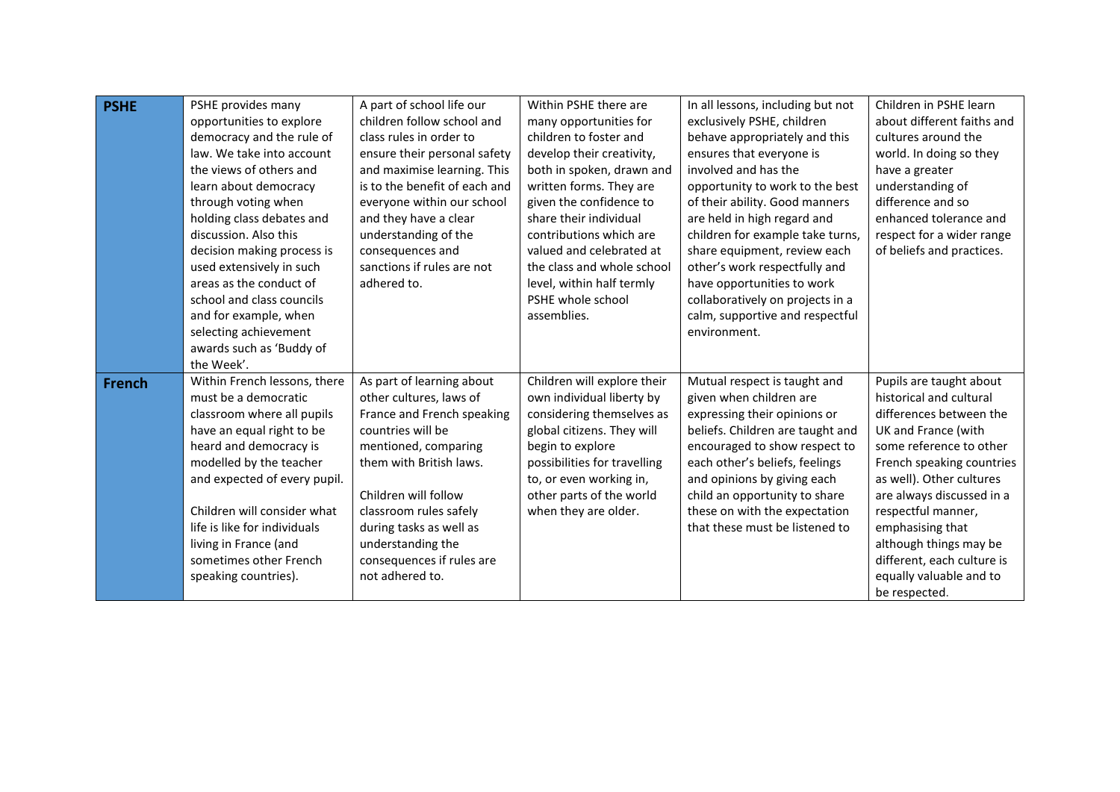| <b>PSHE</b>   | PSHE provides many<br>opportunities to explore<br>democracy and the rule of<br>law. We take into account<br>the views of others and<br>learn about democracy<br>through voting when<br>holding class debates and<br>discussion. Also this<br>decision making process is<br>used extensively in such                                            | A part of school life our<br>children follow school and<br>class rules in order to<br>ensure their personal safety<br>and maximise learning. This<br>is to the benefit of each and<br>everyone within our school<br>and they have a clear<br>understanding of the<br>consequences and<br>sanctions if rules are not | Within PSHE there are<br>many opportunities for<br>children to foster and<br>develop their creativity,<br>both in spoken, drawn and<br>written forms. They are<br>given the confidence to<br>share their individual<br>contributions which are<br>valued and celebrated at<br>the class and whole school | In all lessons, including but not<br>exclusively PSHE, children<br>behave appropriately and this<br>ensures that everyone is<br>involved and has the<br>opportunity to work to the best<br>of their ability. Good manners<br>are held in high regard and<br>children for example take turns,<br>share equipment, review each<br>other's work respectfully and | Children in PSHE learn<br>about different faiths and<br>cultures around the<br>world. In doing so they<br>have a greater<br>understanding of<br>difference and so<br>enhanced tolerance and<br>respect for a wider range<br>of beliefs and practices.                                                                                                               |
|---------------|------------------------------------------------------------------------------------------------------------------------------------------------------------------------------------------------------------------------------------------------------------------------------------------------------------------------------------------------|---------------------------------------------------------------------------------------------------------------------------------------------------------------------------------------------------------------------------------------------------------------------------------------------------------------------|----------------------------------------------------------------------------------------------------------------------------------------------------------------------------------------------------------------------------------------------------------------------------------------------------------|---------------------------------------------------------------------------------------------------------------------------------------------------------------------------------------------------------------------------------------------------------------------------------------------------------------------------------------------------------------|---------------------------------------------------------------------------------------------------------------------------------------------------------------------------------------------------------------------------------------------------------------------------------------------------------------------------------------------------------------------|
|               | areas as the conduct of<br>school and class councils<br>and for example, when<br>selecting achievement<br>awards such as 'Buddy of<br>the Week'.                                                                                                                                                                                               | adhered to.                                                                                                                                                                                                                                                                                                         | level, within half termly<br>PSHE whole school<br>assemblies.                                                                                                                                                                                                                                            | have opportunities to work<br>collaboratively on projects in a<br>calm, supportive and respectful<br>environment.                                                                                                                                                                                                                                             |                                                                                                                                                                                                                                                                                                                                                                     |
| <b>French</b> | Within French lessons, there<br>must be a democratic<br>classroom where all pupils<br>have an equal right to be<br>heard and democracy is<br>modelled by the teacher<br>and expected of every pupil.<br>Children will consider what<br>life is like for individuals<br>living in France (and<br>sometimes other French<br>speaking countries). | As part of learning about<br>other cultures, laws of<br>France and French speaking<br>countries will be<br>mentioned, comparing<br>them with British laws.<br>Children will follow<br>classroom rules safely<br>during tasks as well as<br>understanding the<br>consequences if rules are<br>not adhered to.        | Children will explore their<br>own individual liberty by<br>considering themselves as<br>global citizens. They will<br>begin to explore<br>possibilities for travelling<br>to, or even working in,<br>other parts of the world<br>when they are older.                                                   | Mutual respect is taught and<br>given when children are<br>expressing their opinions or<br>beliefs. Children are taught and<br>encouraged to show respect to<br>each other's beliefs, feelings<br>and opinions by giving each<br>child an opportunity to share<br>these on with the expectation<br>that these must be listened to                             | Pupils are taught about<br>historical and cultural<br>differences between the<br>UK and France (with<br>some reference to other<br>French speaking countries<br>as well). Other cultures<br>are always discussed in a<br>respectful manner,<br>emphasising that<br>although things may be<br>different, each culture is<br>equally valuable and to<br>be respected. |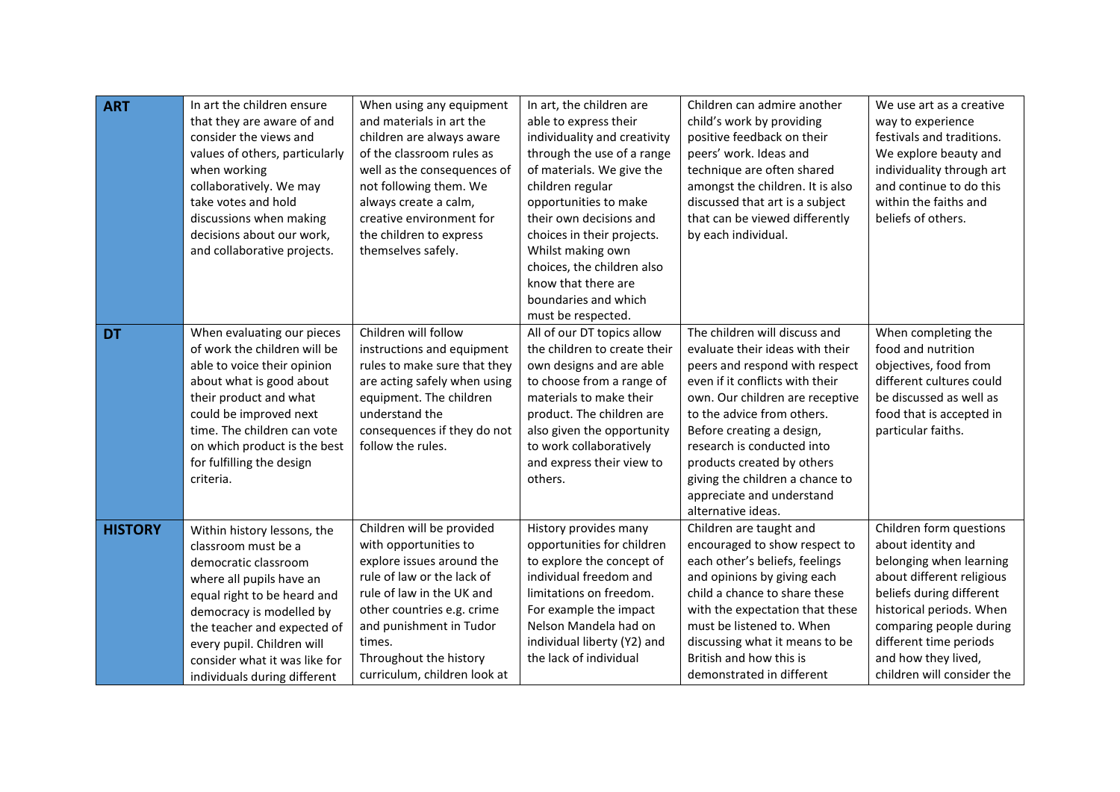| <b>ART</b>     | In art the children ensure<br>that they are aware of and<br>consider the views and<br>values of others, particularly<br>when working<br>collaboratively. We may<br>take votes and hold<br>discussions when making<br>decisions about our work,<br>and collaborative projects.                   | When using any equipment<br>and materials in art the<br>children are always aware<br>of the classroom rules as<br>well as the consequences of<br>not following them. We<br>always create a calm,<br>creative environment for<br>the children to express<br>themselves safely. | In art, the children are<br>able to express their<br>individuality and creativity<br>through the use of a range<br>of materials. We give the<br>children regular<br>opportunities to make<br>their own decisions and<br>choices in their projects.<br>Whilst making own<br>choices, the children also<br>know that there are<br>boundaries and which<br>must be respected. | Children can admire another<br>child's work by providing<br>positive feedback on their<br>peers' work. Ideas and<br>technique are often shared<br>amongst the children. It is also<br>discussed that art is a subject<br>that can be viewed differently<br>by each individual.                                                                                                        | We use art as a creative<br>way to experience<br>festivals and traditions.<br>We explore beauty and<br>individuality through art<br>and continue to do this<br>within the faiths and<br>beliefs of others.                                                              |
|----------------|-------------------------------------------------------------------------------------------------------------------------------------------------------------------------------------------------------------------------------------------------------------------------------------------------|-------------------------------------------------------------------------------------------------------------------------------------------------------------------------------------------------------------------------------------------------------------------------------|----------------------------------------------------------------------------------------------------------------------------------------------------------------------------------------------------------------------------------------------------------------------------------------------------------------------------------------------------------------------------|---------------------------------------------------------------------------------------------------------------------------------------------------------------------------------------------------------------------------------------------------------------------------------------------------------------------------------------------------------------------------------------|-------------------------------------------------------------------------------------------------------------------------------------------------------------------------------------------------------------------------------------------------------------------------|
| <b>DT</b>      | When evaluating our pieces<br>of work the children will be<br>able to voice their opinion<br>about what is good about<br>their product and what<br>could be improved next<br>time. The children can vote<br>on which product is the best<br>for fulfilling the design<br>criteria.              | Children will follow<br>instructions and equipment<br>rules to make sure that they<br>are acting safely when using<br>equipment. The children<br>understand the<br>consequences if they do not<br>follow the rules.                                                           | All of our DT topics allow<br>the children to create their<br>own designs and are able<br>to choose from a range of<br>materials to make their<br>product. The children are<br>also given the opportunity<br>to work collaboratively<br>and express their view to<br>others.                                                                                               | The children will discuss and<br>evaluate their ideas with their<br>peers and respond with respect<br>even if it conflicts with their<br>own. Our children are receptive<br>to the advice from others.<br>Before creating a design,<br>research is conducted into<br>products created by others<br>giving the children a chance to<br>appreciate and understand<br>alternative ideas. | When completing the<br>food and nutrition<br>objectives, food from<br>different cultures could<br>be discussed as well as<br>food that is accepted in<br>particular faiths.                                                                                             |
| <b>HISTORY</b> | Within history lessons, the<br>classroom must be a<br>democratic classroom<br>where all pupils have an<br>equal right to be heard and<br>democracy is modelled by<br>the teacher and expected of<br>every pupil. Children will<br>consider what it was like for<br>individuals during different | Children will be provided<br>with opportunities to<br>explore issues around the<br>rule of law or the lack of<br>rule of law in the UK and<br>other countries e.g. crime<br>and punishment in Tudor<br>times.<br>Throughout the history<br>curriculum, children look at       | History provides many<br>opportunities for children<br>to explore the concept of<br>individual freedom and<br>limitations on freedom.<br>For example the impact<br>Nelson Mandela had on<br>individual liberty (Y2) and<br>the lack of individual                                                                                                                          | Children are taught and<br>encouraged to show respect to<br>each other's beliefs, feelings<br>and opinions by giving each<br>child a chance to share these<br>with the expectation that these<br>must be listened to. When<br>discussing what it means to be<br>British and how this is<br>demonstrated in different                                                                  | Children form questions<br>about identity and<br>belonging when learning<br>about different religious<br>beliefs during different<br>historical periods. When<br>comparing people during<br>different time periods<br>and how they lived,<br>children will consider the |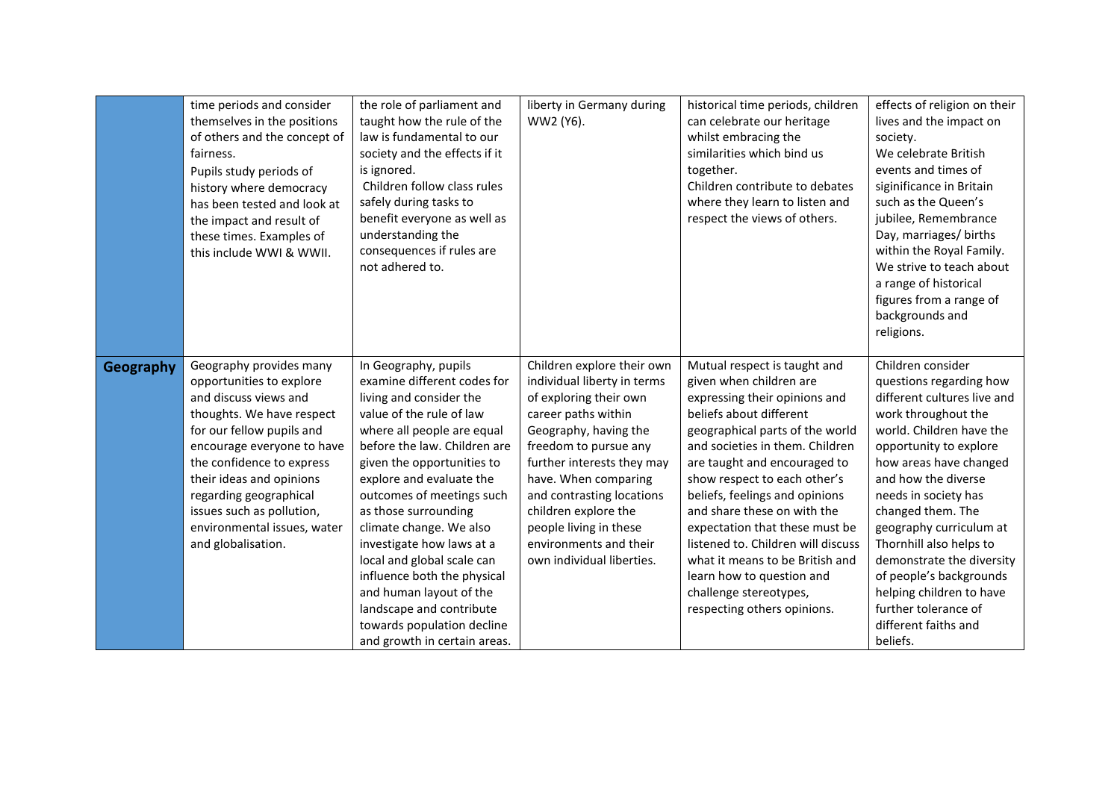|           | time periods and consider<br>themselves in the positions<br>of others and the concept of<br>fairness.<br>Pupils study periods of<br>history where democracy<br>has been tested and look at<br>the impact and result of<br>these times. Examples of<br>this include WWI & WWII.                                      | the role of parliament and<br>taught how the rule of the<br>law is fundamental to our<br>society and the effects if it<br>is ignored.<br>Children follow class rules<br>safely during tasks to<br>benefit everyone as well as<br>understanding the<br>consequences if rules are<br>not adhered to.                 | liberty in Germany during<br>WW2 (Y6).                                                                                                                                                                                                                                                                                      | historical time periods, children<br>can celebrate our heritage<br>whilst embracing the<br>similarities which bind us<br>together.<br>Children contribute to debates<br>where they learn to listen and<br>respect the views of others.                                                                                                                                                             | effects of religion on their<br>lives and the impact on<br>society.<br>We celebrate British<br>events and times of<br>siginificance in Britain<br>such as the Queen's<br>jubilee, Remembrance<br>Day, marriages/ births<br>within the Royal Family.<br>We strive to teach about<br>a range of historical<br>figures from a range of<br>backgrounds and<br>religions. |
|-----------|---------------------------------------------------------------------------------------------------------------------------------------------------------------------------------------------------------------------------------------------------------------------------------------------------------------------|--------------------------------------------------------------------------------------------------------------------------------------------------------------------------------------------------------------------------------------------------------------------------------------------------------------------|-----------------------------------------------------------------------------------------------------------------------------------------------------------------------------------------------------------------------------------------------------------------------------------------------------------------------------|----------------------------------------------------------------------------------------------------------------------------------------------------------------------------------------------------------------------------------------------------------------------------------------------------------------------------------------------------------------------------------------------------|----------------------------------------------------------------------------------------------------------------------------------------------------------------------------------------------------------------------------------------------------------------------------------------------------------------------------------------------------------------------|
| Geography | Geography provides many<br>opportunities to explore<br>and discuss views and<br>thoughts. We have respect<br>for our fellow pupils and<br>encourage everyone to have<br>the confidence to express<br>their ideas and opinions<br>regarding geographical<br>issues such as pollution,<br>environmental issues, water | In Geography, pupils<br>examine different codes for<br>living and consider the<br>value of the rule of law<br>where all people are equal<br>before the law. Children are<br>given the opportunities to<br>explore and evaluate the<br>outcomes of meetings such<br>as those surrounding<br>climate change. We also | Children explore their own<br>individual liberty in terms<br>of exploring their own<br>career paths within<br>Geography, having the<br>freedom to pursue any<br>further interests they may<br>have. When comparing<br>and contrasting locations<br>children explore the<br>people living in these<br>environments and their | Mutual respect is taught and<br>given when children are<br>expressing their opinions and<br>beliefs about different<br>geographical parts of the world<br>and societies in them. Children<br>are taught and encouraged to<br>show respect to each other's<br>beliefs, feelings and opinions<br>and share these on with the<br>expectation that these must be<br>listened to. Children will discuss | questions regarding how<br>different cultures live and<br>work throughout the<br>world. Children have the<br>opportunity to explore<br>how areas have changed<br>and how the diverse<br>needs in society has<br>changed them. The<br>geography curriculum at                                                                                                         |
|           | and globalisation.                                                                                                                                                                                                                                                                                                  | investigate how laws at a<br>local and global scale can<br>influence both the physical<br>and human layout of the<br>landscape and contribute<br>towards population decline<br>and growth in certain areas.                                                                                                        | own individual liberties.                                                                                                                                                                                                                                                                                                   | what it means to be British and<br>learn how to question and<br>challenge stereotypes,<br>respecting others opinions.                                                                                                                                                                                                                                                                              | Thornhill also helps to<br>demonstrate the diversity<br>of people's backgrounds<br>helping children to have<br>further tolerance of<br>different faiths and<br>beliefs.                                                                                                                                                                                              |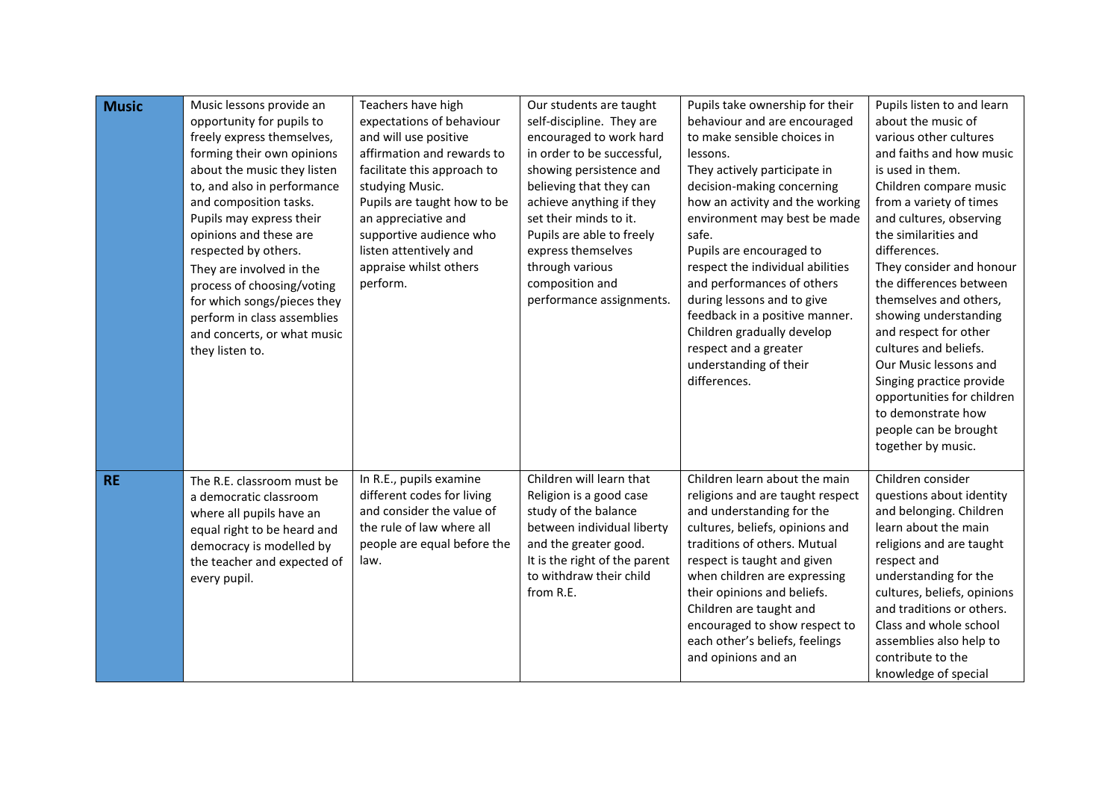| <b>Music</b> | Music lessons provide an<br>opportunity for pupils to<br>freely express themselves,<br>forming their own opinions<br>about the music they listen<br>to, and also in performance<br>and composition tasks.<br>Pupils may express their<br>opinions and these are<br>respected by others.<br>They are involved in the<br>process of choosing/voting<br>for which songs/pieces they<br>perform in class assemblies<br>and concerts, or what music<br>they listen to. | Teachers have high<br>expectations of behaviour<br>and will use positive<br>affirmation and rewards to<br>facilitate this approach to<br>studying Music.<br>Pupils are taught how to be<br>an appreciative and<br>supportive audience who<br>listen attentively and<br>appraise whilst others<br>perform. | Our students are taught<br>self-discipline. They are<br>encouraged to work hard<br>in order to be successful,<br>showing persistence and<br>believing that they can<br>achieve anything if they<br>set their minds to it.<br>Pupils are able to freely<br>express themselves<br>through various<br>composition and<br>performance assignments. | Pupils take ownership for their<br>behaviour and are encouraged<br>to make sensible choices in<br>lessons.<br>They actively participate in<br>decision-making concerning<br>how an activity and the working<br>environment may best be made<br>safe.<br>Pupils are encouraged to<br>respect the individual abilities<br>and performances of others<br>during lessons and to give<br>feedback in a positive manner.<br>Children gradually develop<br>respect and a greater<br>understanding of their<br>differences. | Pupils listen to and learn<br>about the music of<br>various other cultures<br>and faiths and how music<br>is used in them.<br>Children compare music<br>from a variety of times<br>and cultures, observing<br>the similarities and<br>differences.<br>They consider and honour<br>the differences between<br>themselves and others,<br>showing understanding<br>and respect for other<br>cultures and beliefs.<br>Our Music lessons and<br>Singing practice provide<br>opportunities for children<br>to demonstrate how<br>people can be brought<br>together by music. |
|--------------|-------------------------------------------------------------------------------------------------------------------------------------------------------------------------------------------------------------------------------------------------------------------------------------------------------------------------------------------------------------------------------------------------------------------------------------------------------------------|-----------------------------------------------------------------------------------------------------------------------------------------------------------------------------------------------------------------------------------------------------------------------------------------------------------|------------------------------------------------------------------------------------------------------------------------------------------------------------------------------------------------------------------------------------------------------------------------------------------------------------------------------------------------|---------------------------------------------------------------------------------------------------------------------------------------------------------------------------------------------------------------------------------------------------------------------------------------------------------------------------------------------------------------------------------------------------------------------------------------------------------------------------------------------------------------------|------------------------------------------------------------------------------------------------------------------------------------------------------------------------------------------------------------------------------------------------------------------------------------------------------------------------------------------------------------------------------------------------------------------------------------------------------------------------------------------------------------------------------------------------------------------------|
| <b>RE</b>    | The R.E. classroom must be<br>a democratic classroom<br>where all pupils have an<br>equal right to be heard and<br>democracy is modelled by<br>the teacher and expected of<br>every pupil.                                                                                                                                                                                                                                                                        | In R.E., pupils examine<br>different codes for living<br>and consider the value of<br>the rule of law where all<br>people are equal before the<br>law.                                                                                                                                                    | Children will learn that<br>Religion is a good case<br>study of the balance<br>between individual liberty<br>and the greater good.<br>It is the right of the parent<br>to withdraw their child<br>from R.E.                                                                                                                                    | Children learn about the main<br>religions and are taught respect<br>and understanding for the<br>cultures, beliefs, opinions and<br>traditions of others. Mutual<br>respect is taught and given<br>when children are expressing<br>their opinions and beliefs.<br>Children are taught and<br>encouraged to show respect to<br>each other's beliefs, feelings<br>and opinions and an                                                                                                                                | Children consider<br>questions about identity<br>and belonging. Children<br>learn about the main<br>religions and are taught<br>respect and<br>understanding for the<br>cultures, beliefs, opinions<br>and traditions or others.<br>Class and whole school<br>assemblies also help to<br>contribute to the<br>knowledge of special                                                                                                                                                                                                                                     |